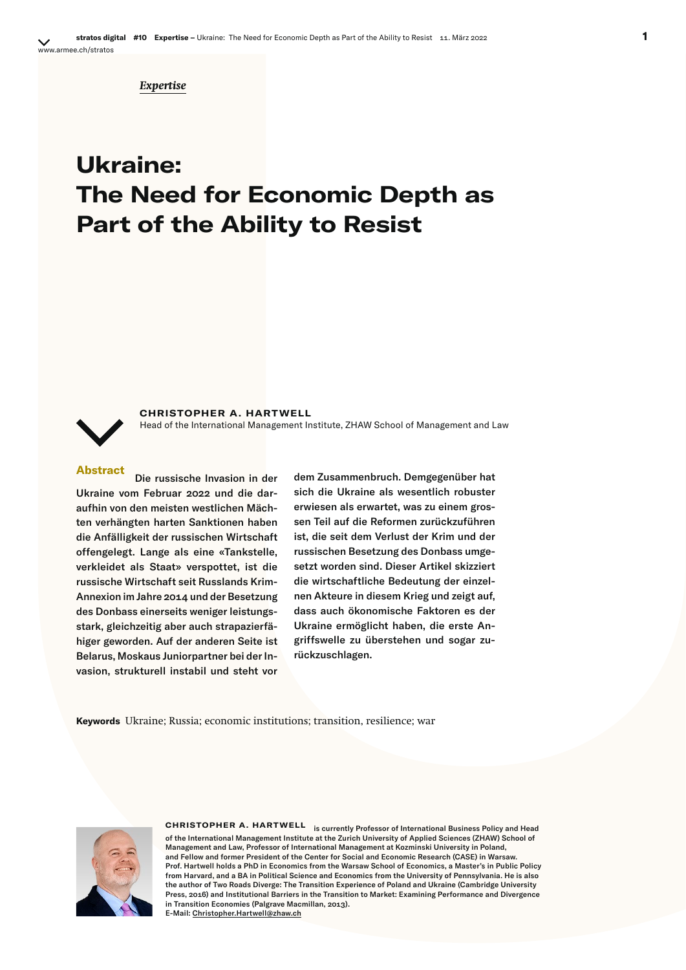*Expertise*

# **Ukraine: The Need for Economic Depth as Part of the Ability to Resist**

**CHRISTOPHER A. HARTWELL**

Head of the International Management Institute, ZHAW School of Management and Law

**Abstract** Die russische Invasion in der Ukraine vom Februar 2022 und die daraufhin von den meisten westlichen Mächten verhängten harten Sanktionen haben die Anfälligkeit der russischen Wirtschaft offengelegt. Lange als eine «Tankstelle, verkleidet als Staat» verspottet, ist die russische Wirtschaft seit Russlands Krim-Annexion im Jahre 2014 und der Besetzung des Donbass einerseits weniger leistungsstark, gleichzeitig aber auch strapazierfähiger geworden. Auf der anderen Seite ist Belarus, Moskaus Juniorpartner bei der Invasion, strukturell instabil und steht vor

dem Zusammenbruch. Demgegenüber hat sich die Ukraine als wesentlich robuster erwiesen als erwartet, was zu einem grossen Teil auf die Reformen zurückzuführen ist, die seit dem Verlust der Krim und der russischen Besetzung des Donbass umgesetzt worden sind. Dieser Artikel skizziert die wirtschaftliche Bedeutung der einzelnen Akteure in diesem Krieg und zeigt auf, dass auch ökonomische Faktoren es der Ukraine ermöglicht haben, die erste Angriffswelle zu überstehen und sogar zurückzuschlagen.

**Keywords** Ukraine; Russia; economic institutions; transition, resilience; war



**CHRISTOPHER A. HARTWELL** is currently Professor of International Business Policy and Head of the International Management Institute at the Zurich University of Applied Sciences (ZHAW) School of Management and Law, Professor of International Management at Kozminski University in Poland, and Fellow and former President of the Center for Social and Economic Research (CASE) in Warsaw. Prof. Hartwell holds a PhD in Economics from the Warsaw School of Economics, a Master's in Public Policy from Harvard, and a BA in Political Science and Economics from the University of Pennsylvania. He is also the author of Two Roads Diverge: The Transition Experience of Poland and Ukraine (Cambridge University Press, 2016) and Institutional Barriers in the Transition to Market: Examining Performance and Divergence in Transition Economies (Palgrave Macmillan, 2013). E-Mail: Christopher.Hartwell@zhaw.ch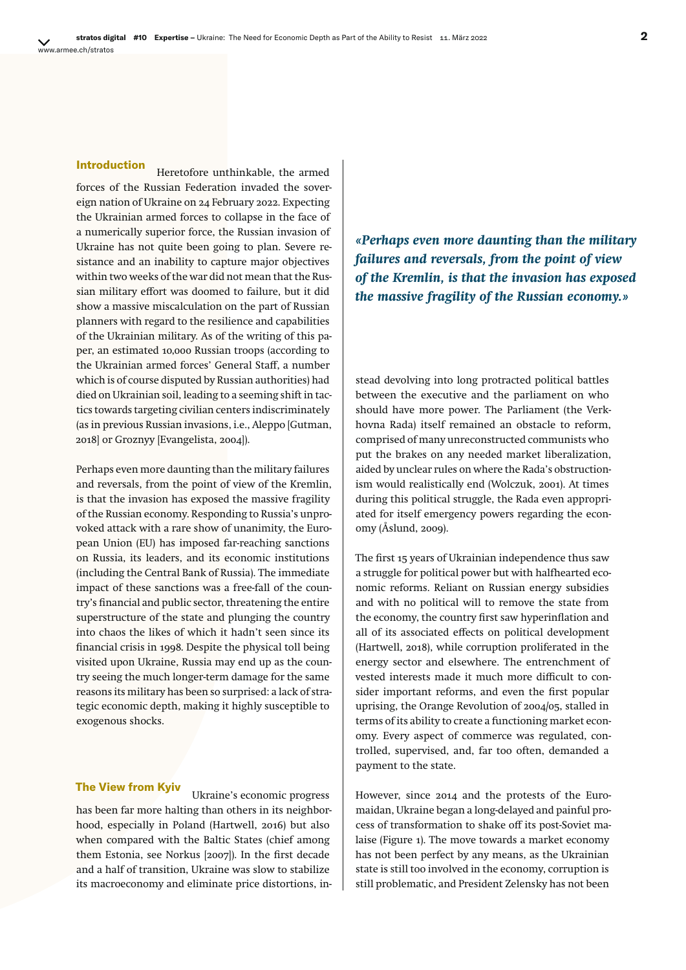**Introduction** Heretofore unthinkable, the armed forces of the Russian Federation invaded the sovereign nation of Ukraine on 24 February 2022. Expecting the Ukrainian armed forces to collapse in the face of a numerically superior force, the Russian invasion of Ukraine has not quite been going to plan. Severe resistance and an inability to capture major objectives within two weeks of the war did not mean that the Russian military effort was doomed to failure, but it did show a massive miscalculation on the part of Russian planners with regard to the resilience and capabilities of the Ukrainian military. As of the writing of this paper, an estimated 10,000 Russian troops (according to the Ukrainian armed forces' General Staff, a number which is of course disputed by Russian authorities) had died on Ukrainian soil, leading to a seeming shift in tactics towards targeting civilian centers indiscriminately (as in previous Russian invasions, i.e., Aleppo [Gutman, 2018] or Groznyy [Evangelista, 2004]).

Perhaps even more daunting than the military failures and reversals, from the point of view of the Kremlin, is that the invasion has exposed the massive fragility of the Russian economy. Responding to Russia's unprovoked attack with a rare show of unanimity, the European Union (EU) has imposed far-reaching sanctions on Russia, its leaders, and its economic institutions (including the Central Bank of Russia). The immediate impact of these sanctions was a free-fall of the country's financial and public sector, threatening the entire superstructure of the state and plunging the country into chaos the likes of which it hadn't seen since its financial crisis in 1998. Despite the physical toll being visited upon Ukraine, Russia may end up as the country seeing the much longer-term damage for the same reasons its military has been so surprised: a lack of strategic economic depth, making it highly susceptible to exogenous shocks.

## **The View from Kyiv** Ukraine's economic progress

has been far more halting than others in its neighborhood, especially in Poland (Hartwell, 2016) but also when compared with the Baltic States (chief among them Estonia, see Norkus [2007]). In the first decade and a half of transition, Ukraine was slow to stabilize its macroeconomy and eliminate price distortions, in*«Perhaps even more daunting than the military failures and reversals, from the point of view of the Kremlin, is that the invasion has exposed the massive fragility of the Russian economy.»*

stead devolving into long protracted political battles between the executive and the parliament on who should have more power. The Parliament (the Verkhovna Rada) itself remained an obstacle to reform, comprised of many unreconstructed communists who put the brakes on any needed market liberalization, aided by unclear rules on where the Rada's obstructionism would realistically end (Wolczuk, 2001). At times during this political struggle, the Rada even appropriated for itself emergency powers regarding the economy (Åslund, 2009).

The first 15 years of Ukrainian independence thus saw a struggle for political power but with halfhearted economic reforms. Reliant on Russian energy subsidies and with no political will to remove the state from the economy, the country first saw hyperinflation and all of its associated effects on political development (Hartwell, 2018), while corruption proliferated in the energy sector and elsewhere. The entrenchment of vested interests made it much more difficult to consider important reforms, and even the first popular uprising, the Orange Revolution of 2004/05, stalled in terms of its ability to create a functioning market economy. Every aspect of commerce was regulated, controlled, supervised, and, far too often, demanded a payment to the state.

However, since 2014 and the protests of the Euromaidan, Ukraine began a long-delayed and painful process of transformation to shake off its post-Soviet malaise (Figure 1). The move towards a market economy has not been perfect by any means, as the Ukrainian state is still too involved in the economy, corruption is still problematic, and President Zelensky has not been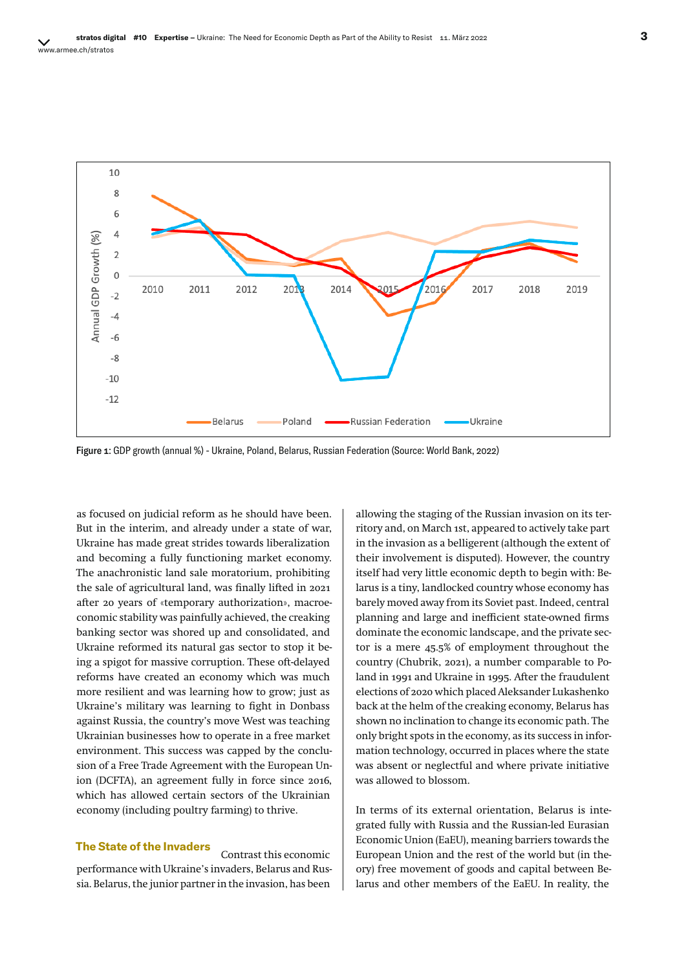

Figure 1: GDP growth (annual %) - Ukraine, Poland, Belarus, Russian Federation (Source: World Bank, 2022)

as focused on judicial reform as he should have been. But in the interim, and already under a state of war, Ukraine has made great strides towards liberalization and becoming a fully functioning market economy. The anachronistic land sale moratorium, prohibiting the sale of agricultural land, was finally lifted in 2021 after 20 years of «temporary authorization», macroeconomic stability was painfully achieved, the creaking banking sector was shored up and consolidated, and Ukraine reformed its natural gas sector to stop it being a spigot for massive corruption. These oft-delayed reforms have created an economy which was much more resilient and was learning how to grow; just as Ukraine's military was learning to fight in Donbass against Russia, the country's move West was teaching Ukrainian businesses how to operate in a free market environment. This success was capped by the conclusion of a Free Trade Agreement with the European Union (DCFTA), an agreement fully in force since 2016, which has allowed certain sectors of the Ukrainian economy (including poultry farming) to thrive.

### **The State of the Invaders**<br>Contrast this economic

performance with Ukraine's invaders, Belarus and Russia. Belarus, the junior partner in the invasion, has been

allowing the staging of the Russian invasion on its territory and, on March 1st, appeared to actively take part in the invasion as a belligerent (although the extent of their involvement is disputed). However, the country itself had very little economic depth to begin with: Belarus is a tiny, landlocked country whose economy has barely moved away from its Soviet past. Indeed, central planning and large and inefficient state-owned firms dominate the economic landscape, and the private sector is a mere 45.5% of employment throughout the country (Chubrik, 2021), a number comparable to Poland in 1991 and Ukraine in 1995. After the fraudulent elections of 2020 which placed Aleksander Lukashenko back at the helm of the creaking economy, Belarus has shown no inclination to change its economic path. The only bright spots in the economy, as its success in information technology, occurred in places where the state was absent or neglectful and where private initiative was allowed to blossom.

In terms of its external orientation, Belarus is integrated fully with Russia and the Russian-led Eurasian Economic Union (EaEU), meaning barriers towards the European Union and the rest of the world but (in theory) free movement of goods and capital between Belarus and other members of the EaEU. In reality, the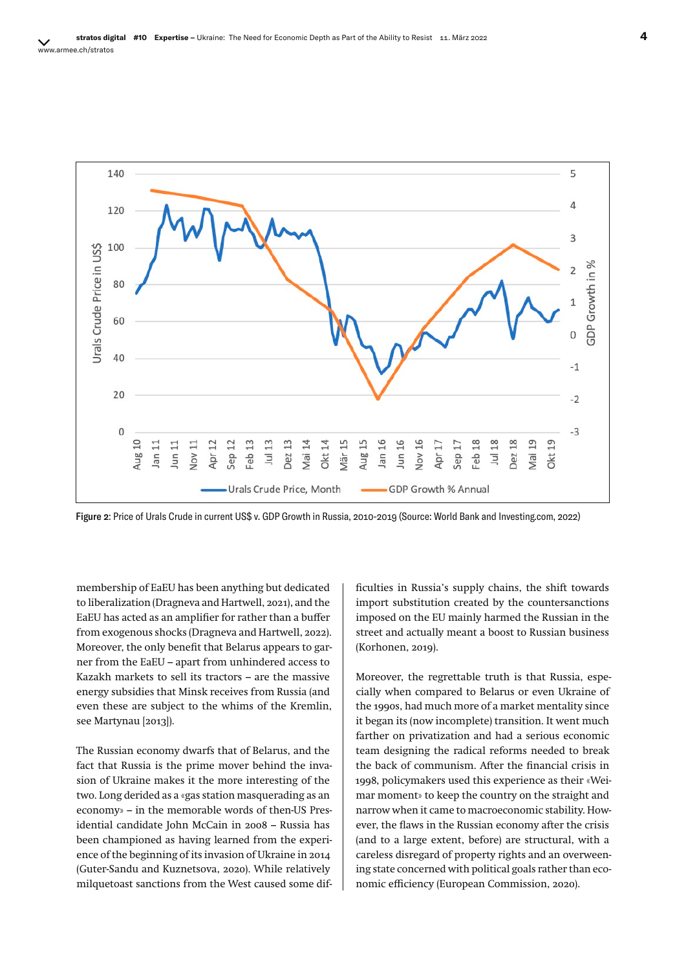

Figure 2: Price of Urals Crude in current US\$ v. GDP Growth in Russia, 2010-2019 (Source: World Bank and Investing.com, 2022)

membership of EaEU has been anything but dedicated to liberalization (Dragneva and Hartwell, 2021), and the EaEU has acted as an amplifier for rather than a buffer from exogenous shocks (Dragneva and Hartwell, 2022). Moreover, the only benefit that Belarus appears to garner from the EaEU – apart from unhindered access to Kazakh markets to sell its tractors – are the massive energy subsidies that Minsk receives from Russia (and even these are subject to the whims of the Kremlin, see Martynau [2013]).

The Russian economy dwarfs that of Belarus, and the fact that Russia is the prime mover behind the invasion of Ukraine makes it the more interesting of the two. Long derided as a «gas station masquerading as an economy» – in the memorable words of then-US Presidential candidate John McCain in 2008 – Russia has been championed as having learned from the experience of the beginning of its invasion of Ukraine in 2014 (Guter-Sandu and Kuznetsova, 2020). While relatively milquetoast sanctions from the West caused some difficulties in Russia's supply chains, the shift towards import substitution created by the countersanctions imposed on the EU mainly harmed the Russian in the street and actually meant a boost to Russian business (Korhonen, 2019).

Moreover, the regrettable truth is that Russia, especially when compared to Belarus or even Ukraine of the 1990s, had much more of a market mentality since it began its (now incomplete) transition. It went much farther on privatization and had a serious economic team designing the radical reforms needed to break the back of communism. After the financial crisis in 1998, policymakers used this experience as their «Weimar moment» to keep the country on the straight and narrow when it came to macroeconomic stability. However, the flaws in the Russian economy after the crisis (and to a large extent, before) are structural, with a careless disregard of property rights and an overweening state concerned with political goals rather than economic efficiency (European Commission, 2020).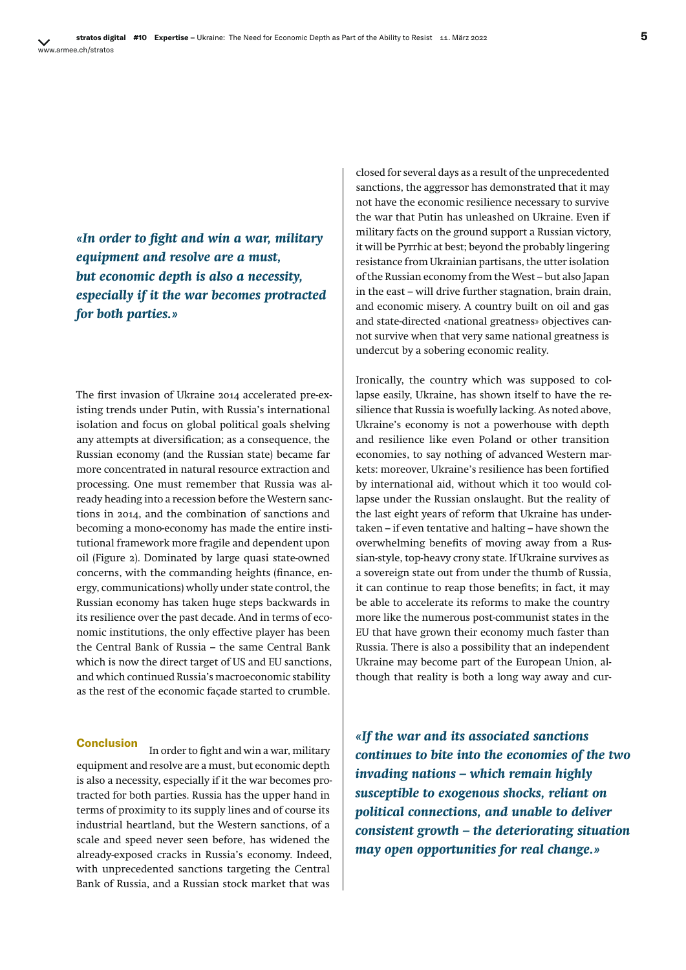*«In order to fight and win a war, military equipment and resolve are a must, but economic depth is also a necessity, especially if it the war becomes protracted for both parties.»*

The first invasion of Ukraine 2014 accelerated pre-existing trends under Putin, with Russia's international isolation and focus on global political goals shelving any attempts at diversification; as a consequence, the Russian economy (and the Russian state) became far more concentrated in natural resource extraction and processing. One must remember that Russia was already heading into a recession before the Western sanctions in 2014, and the combination of sanctions and becoming a mono-economy has made the entire institutional framework more fragile and dependent upon oil (Figure 2). Dominated by large quasi state-owned concerns, with the commanding heights (finance, energy, communications) wholly under state control, the Russian economy has taken huge steps backwards in its resilience over the past decade. And in terms of economic institutions, the only effective player has been the Central Bank of Russia – the same Central Bank which is now the direct target of US and EU sanctions, and which continued Russia's macroeconomic stability as the rest of the economic façade started to crumble.

**Conclusion** In order to fight and win a war, military equipment and resolve are a must, but economic depth is also a necessity, especially if it the war becomes protracted for both parties. Russia has the upper hand in terms of proximity to its supply lines and of course its industrial heartland, but the Western sanctions, of a scale and speed never seen before, has widened the already-exposed cracks in Russia's economy. Indeed, with unprecedented sanctions targeting the Central Bank of Russia, and a Russian stock market that was

closed for several days as a result of the unprecedented sanctions, the aggressor has demonstrated that it may not have the economic resilience necessary to survive the war that Putin has unleashed on Ukraine. Even if military facts on the ground support a Russian victory, it will be Pyrrhic at best; beyond the probably lingering resistance from Ukrainian partisans, the utter isolation of the Russian economy from the West – but also Japan in the east – will drive further stagnation, brain drain, and economic misery. A country built on oil and gas and state-directed «national greatness» objectives cannot survive when that very same national greatness is undercut by a sobering economic reality.

Ironically, the country which was supposed to collapse easily, Ukraine, has shown itself to have the resilience that Russia is woefully lacking. As noted above, Ukraine's economy is not a powerhouse with depth and resilience like even Poland or other transition economies, to say nothing of advanced Western markets: moreover, Ukraine's resilience has been fortified by international aid, without which it too would collapse under the Russian onslaught. But the reality of the last eight years of reform that Ukraine has undertaken – if even tentative and halting – have shown the overwhelming benefits of moving away from a Russian-style, top-heavy crony state. If Ukraine survives as a sovereign state out from under the thumb of Russia, it can continue to reap those benefits; in fact, it may be able to accelerate its reforms to make the country more like the numerous post-communist states in the EU that have grown their economy much faster than Russia. There is also a possibility that an independent Ukraine may become part of the European Union, although that reality is both a long way away and cur-

*«If the war and its associated sanctions continues to bite into the economies of the two invading nations – which remain highly susceptible to exogenous shocks, reliant on political connections, and unable to deliver consistent growth – the deteriorating situation may open opportunities for real change.»*